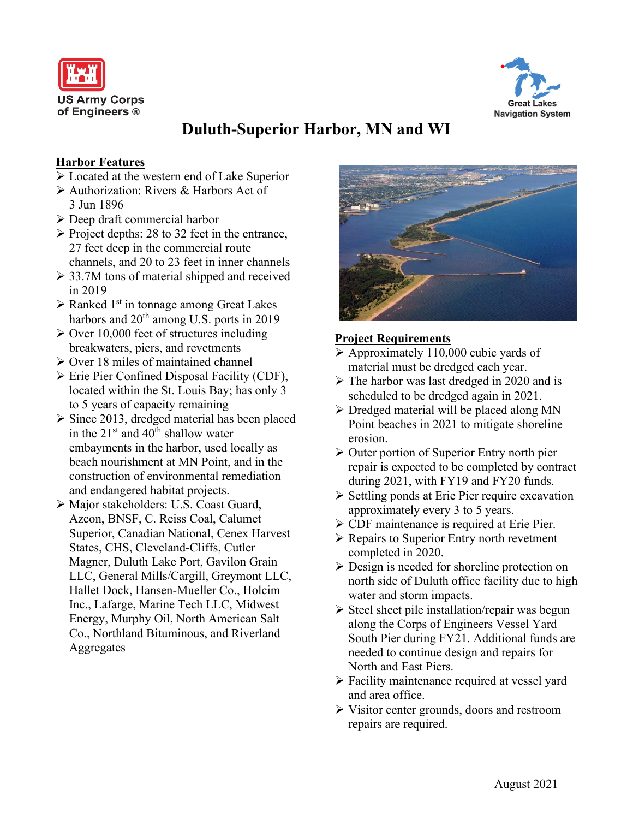



# **Duluth-Superior Harbor, MN and WI**

#### **Harbor Features**

- Located at the western end of Lake Superior
- Authorization: Rivers & Harbors Act of 3 Jun 1896
- Deep draft commercial harbor
- $\triangleright$  Project depths: 28 to 32 feet in the entrance, 27 feet deep in the commercial route channels, and 20 to 23 feet in inner channels
- $\geq$  33.7M tons of material shipped and received in 2019
- $\triangleright$  Ranked 1<sup>st</sup> in tonnage among Great Lakes harbors and 20<sup>th</sup> among U.S. ports in 2019
- $\geq$  Over 10,000 feet of structures including breakwaters, piers, and revetments
- $\triangleright$  Over 18 miles of maintained channel
- $\triangleright$  Erie Pier Confined Disposal Facility (CDF), located within the St. Louis Bay; has only 3 to 5 years of capacity remaining
- $\triangleright$  Since 2013, dredged material has been placed in the  $21^{st}$  and  $40^{th}$  shallow water embayments in the harbor, used locally as beach nourishment at MN Point, and in the construction of environmental remediation and endangered habitat projects.
- Major stakeholders: U.S. Coast Guard, Azcon, BNSF, C. Reiss Coal, Calumet Superior, Canadian National, Cenex Harvest States, CHS, Cleveland-Cliffs, Cutler Magner, Duluth Lake Port, Gavilon Grain LLC, General Mills/Cargill, Greymont LLC, Hallet Dock, Hansen-Mueller Co., Holcim Inc., Lafarge, Marine Tech LLC, Midwest Energy, Murphy Oil, North American Salt Co., Northland Bituminous, and Riverland Aggregates



#### **Project Requirements**

- $\triangleright$  Approximately 110,000 cubic yards of material must be dredged each year.
- $\triangleright$  The harbor was last dredged in 2020 and is scheduled to be dredged again in 2021.
- $\triangleright$  Dredged material will be placed along MN Point beaches in 2021 to mitigate shoreline erosion.
- $\triangleright$  Outer portion of Superior Entry north pier repair is expected to be completed by contract during 2021, with FY19 and FY20 funds.
- $\triangleright$  Settling ponds at Erie Pier require excavation approximately every 3 to 5 years.
- CDF maintenance is required at Erie Pier.
- $\triangleright$  Repairs to Superior Entry north revetment completed in 2020.
- $\triangleright$  Design is needed for shoreline protection on north side of Duluth office facility due to high water and storm impacts.
- $\triangleright$  Steel sheet pile installation/repair was begun along the Corps of Engineers Vessel Yard South Pier during FY21. Additional funds are needed to continue design and repairs for North and East Piers.
- Facility maintenance required at vessel yard and area office.
- Visitor center grounds, doors and restroom repairs are required.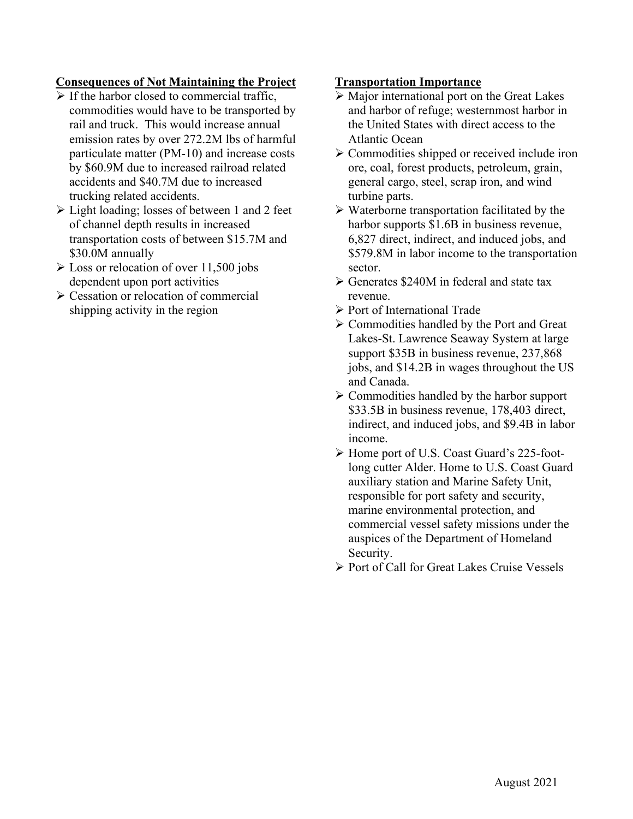### **Consequences of Not Maintaining the Project**

- $\triangleright$  If the harbor closed to commercial traffic, commodities would have to be transported by rail and truck. This would increase annual emission rates by over 272.2M lbs of harmful particulate matter (PM-10) and increase costs by \$60.9M due to increased railroad related accidents and \$40.7M due to increased trucking related accidents.
- Light loading; losses of between 1 and 2 feet of channel depth results in increased transportation costs of between \$15.7M and \$30.0M annually
- $\geq$  Loss or relocation of over 11,500 jobs dependent upon port activities
- Cessation or relocation of commercial shipping activity in the region

#### **Transportation Importance**

- $\triangleright$  Major international port on the Great Lakes and harbor of refuge; westernmost harbor in the United States with direct access to the Atlantic Ocean
- $\triangleright$  Commodities shipped or received include iron ore, coal, forest products, petroleum, grain, general cargo, steel, scrap iron, and wind turbine parts.
- $\triangleright$  Waterborne transportation facilitated by the harbor supports \$1.6B in business revenue, 6,827 direct, indirect, and induced jobs, and \$579.8M in labor income to the transportation sector.
- Generates \$240M in federal and state tax revenue.
- Port of International Trade
- $\triangleright$  Commodities handled by the Port and Great Lakes-St. Lawrence Seaway System at large support \$35B in business revenue, 237,868 jobs, and \$14.2B in wages throughout the US and Canada.
- $\triangleright$  Commodities handled by the harbor support \$33.5B in business revenue, 178,403 direct, indirect, and induced jobs, and \$9.4B in labor income.
- Home port of U.S. Coast Guard's 225-footlong cutter Alder. Home to U.S. Coast Guard auxiliary station and Marine Safety Unit, responsible for port safety and security, marine environmental protection, and commercial vessel safety missions under the auspices of the Department of Homeland Security.
- $\triangleright$  Port of Call for Great Lakes Cruise Vessels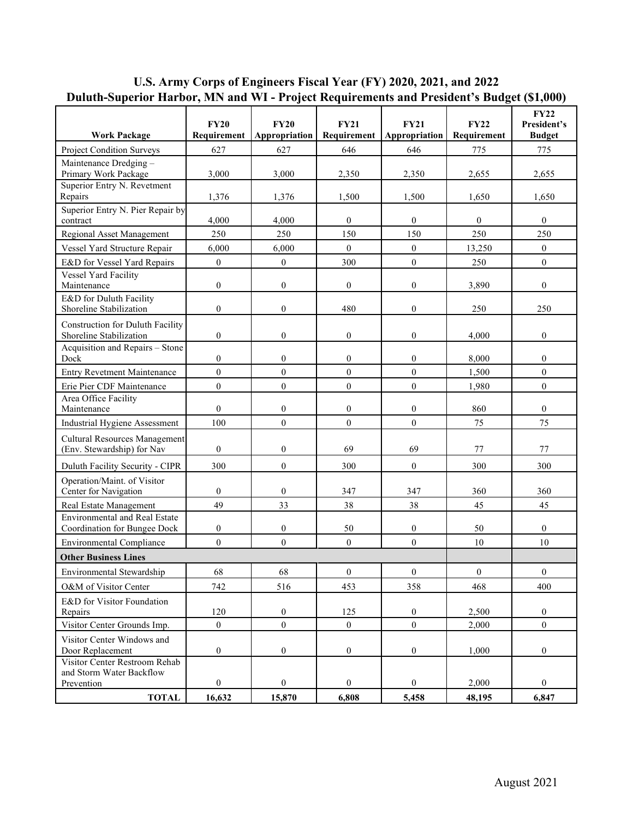# **U.S. Army Corps of Engineers Fiscal Year (FY) 2020, 2021, and 2022 Duluth-Superior Harbor, MN and WI - Project Requirements and President's Budget (\$1,000)**

| 627<br>627<br>646<br>646<br>775<br>Project Condition Surveys<br>775<br>Maintenance Dredging -<br>Primary Work Package<br>3,000<br>2,350<br>2.655<br>3,000<br>2,350<br>2,655<br>Superior Entry N. Revetment<br>Repairs<br>1,500<br>1,650<br>1,376<br>1,376<br>1,500<br>1,650<br>Superior Entry N. Pier Repair by<br>$\mathbf{0}$<br>4,000<br>4,000<br>$\overline{0}$<br>$\mathbf{0}$<br>$\overline{0}$<br>contract<br>150<br>150<br>250<br>250<br>Regional Asset Management<br>250<br>250<br>6,000<br>$\mathbf{0}$<br>$\mathbf{0}$<br>$\boldsymbol{0}$<br>Vessel Yard Structure Repair<br>6,000<br>13,250<br>$\boldsymbol{0}$<br>$\mathbf{0}$<br>$\mathbf{0}$<br>E&D for Vessel Yard Repairs<br>$\boldsymbol{0}$<br>300<br>250<br>Vessel Yard Facility<br>Maintenance<br>$\boldsymbol{0}$<br>$\mathbf{0}$<br>$\mathbf{0}$<br>$\overline{0}$<br>$\boldsymbol{0}$<br>3,890<br>E&D for Duluth Facility<br>$\mathbf{0}$<br>$\overline{0}$<br>$\boldsymbol{0}$<br>Shoreline Stabilization<br>480<br>250<br>250<br>Construction for Duluth Facility<br>$\boldsymbol{0}$<br>$\boldsymbol{0}$<br>$\boldsymbol{0}$<br>$\boldsymbol{0}$<br>$\boldsymbol{0}$<br>Shoreline Stabilization<br>4,000<br>Acquisition and Repairs - Stone<br>$\boldsymbol{0}$<br>$\overline{0}$<br>$\mathbf{0}$<br>$\boldsymbol{0}$<br>$\mathbf{0}$<br>Dock<br>8.000<br>$\mathbf{0}$<br>$\mathbf{0}$<br>$\boldsymbol{0}$<br>$\mathbf{0}$<br>$\mathbf{0}$<br><b>Entry Revetment Maintenance</b><br>1,500<br>$\boldsymbol{0}$<br>$\boldsymbol{0}$<br>$\mathbf{0}$<br>$\mathbf{0}$<br>$\mathbf{0}$<br>Erie Pier CDF Maintenance<br>1,980<br>Area Office Facility<br>$\boldsymbol{0}$<br>Maintenance<br>$\boldsymbol{0}$<br>$\overline{0}$<br>$\mathbf{0}$<br>860<br>$\Omega$<br>100<br>$\boldsymbol{0}$<br>$\mathbf{0}$<br>$\boldsymbol{0}$<br>75<br>75<br>Industrial Hygiene Assessment<br>Cultural Resources Management<br>(Env. Stewardship) for Nav<br>$\boldsymbol{0}$<br>$\boldsymbol{0}$<br>69<br>69<br>77<br>77<br>$\mathbf{0}$<br>$\mathbf{0}$<br>300<br>300<br>Duluth Facility Security - CIPR<br>300<br>300<br>Operation/Maint. of Visitor<br>Center for Navigation<br>$\boldsymbol{0}$<br>$\boldsymbol{0}$<br>347<br>347<br>360<br>360<br>49<br>38<br>38<br>33<br>45<br>45<br>Real Estate Management<br><b>Environmental and Real Estate</b><br>Coordination for Bungee Dock<br>$\boldsymbol{0}$<br>$\boldsymbol{0}$<br>50<br>$\boldsymbol{0}$<br>50<br>$\overline{0}$<br>$\mathbf{0}$<br>$\mathbf{0}$<br>$\mathbf{0}$<br>$\mathbf{0}$<br>10<br><b>Environmental Compliance</b><br>10<br><b>Other Business Lines</b><br>Environmental Stewardship<br>68<br>68<br>$\boldsymbol{0}$<br>$\boldsymbol{0}$<br>$\boldsymbol{0}$<br>$\boldsymbol{0}$<br>742<br>468<br>400<br>O&M of Visitor Center<br>516<br>453<br>358<br>E&D for Visitor Foundation<br>$\boldsymbol{0}$<br>$\boldsymbol{0}$<br>Repairs<br>120<br>125<br>2,500<br>$\boldsymbol{0}$<br>$\mathbf{0}$<br>$\mathbf{0}$<br>$\mathbf{0}$<br>$\mathbf{0}$<br>$\mathbf{0}$<br>Visitor Center Grounds Imp.<br>2,000<br>Visitor Center Windows and<br>$\boldsymbol{0}$<br>$\boldsymbol{0}$<br>$\boldsymbol{0}$<br>$\boldsymbol{0}$<br>$\boldsymbol{0}$<br>Door Replacement<br>1.000<br>Visitor Center Restroom Rehab<br>and Storm Water Backflow<br>$\boldsymbol{0}$<br>$\overline{0}$<br>$\boldsymbol{0}$<br>2,000<br>$\boldsymbol{0}$<br>$\overline{0}$<br>Prevention<br><b>TOTAL</b><br>16,632<br>15,870<br>6,808<br>5,458<br>48,195<br>6,847 | <b>Work Package</b> | <b>FY20</b><br>Requirement | <b>FY20</b><br>Appropriation | <b>FY21</b><br>Requirement | <b>FY21</b><br>Appropriation | <b>FY22</b><br>Requirement | <b>FY22</b><br>President's<br><b>Budget</b> |  |
|-------------------------------------------------------------------------------------------------------------------------------------------------------------------------------------------------------------------------------------------------------------------------------------------------------------------------------------------------------------------------------------------------------------------------------------------------------------------------------------------------------------------------------------------------------------------------------------------------------------------------------------------------------------------------------------------------------------------------------------------------------------------------------------------------------------------------------------------------------------------------------------------------------------------------------------------------------------------------------------------------------------------------------------------------------------------------------------------------------------------------------------------------------------------------------------------------------------------------------------------------------------------------------------------------------------------------------------------------------------------------------------------------------------------------------------------------------------------------------------------------------------------------------------------------------------------------------------------------------------------------------------------------------------------------------------------------------------------------------------------------------------------------------------------------------------------------------------------------------------------------------------------------------------------------------------------------------------------------------------------------------------------------------------------------------------------------------------------------------------------------------------------------------------------------------------------------------------------------------------------------------------------------------------------------------------------------------------------------------------------------------------------------------------------------------------------------------------------------------------------------------------------------------------------------------------------------------------------------------------------------------------------------------------------------------------------------------------------------------------------------------------------------------------------------------------------------------------------------------------------------------------------------------------------------------------------------------------------------------------------------------------------------------------------------------------------------------------------------------------------------------------------------------------------------------------------------------------------------------------------------------------------------------------------------------------------------------------------------------------------------------------------------------------------------------------------------------------------------|---------------------|----------------------------|------------------------------|----------------------------|------------------------------|----------------------------|---------------------------------------------|--|
|                                                                                                                                                                                                                                                                                                                                                                                                                                                                                                                                                                                                                                                                                                                                                                                                                                                                                                                                                                                                                                                                                                                                                                                                                                                                                                                                                                                                                                                                                                                                                                                                                                                                                                                                                                                                                                                                                                                                                                                                                                                                                                                                                                                                                                                                                                                                                                                                                                                                                                                                                                                                                                                                                                                                                                                                                                                                                                                                                                                                                                                                                                                                                                                                                                                                                                                                                                                                                                                                         |                     |                            |                              |                            |                              |                            |                                             |  |
|                                                                                                                                                                                                                                                                                                                                                                                                                                                                                                                                                                                                                                                                                                                                                                                                                                                                                                                                                                                                                                                                                                                                                                                                                                                                                                                                                                                                                                                                                                                                                                                                                                                                                                                                                                                                                                                                                                                                                                                                                                                                                                                                                                                                                                                                                                                                                                                                                                                                                                                                                                                                                                                                                                                                                                                                                                                                                                                                                                                                                                                                                                                                                                                                                                                                                                                                                                                                                                                                         |                     |                            |                              |                            |                              |                            |                                             |  |
|                                                                                                                                                                                                                                                                                                                                                                                                                                                                                                                                                                                                                                                                                                                                                                                                                                                                                                                                                                                                                                                                                                                                                                                                                                                                                                                                                                                                                                                                                                                                                                                                                                                                                                                                                                                                                                                                                                                                                                                                                                                                                                                                                                                                                                                                                                                                                                                                                                                                                                                                                                                                                                                                                                                                                                                                                                                                                                                                                                                                                                                                                                                                                                                                                                                                                                                                                                                                                                                                         |                     |                            |                              |                            |                              |                            |                                             |  |
|                                                                                                                                                                                                                                                                                                                                                                                                                                                                                                                                                                                                                                                                                                                                                                                                                                                                                                                                                                                                                                                                                                                                                                                                                                                                                                                                                                                                                                                                                                                                                                                                                                                                                                                                                                                                                                                                                                                                                                                                                                                                                                                                                                                                                                                                                                                                                                                                                                                                                                                                                                                                                                                                                                                                                                                                                                                                                                                                                                                                                                                                                                                                                                                                                                                                                                                                                                                                                                                                         |                     |                            |                              |                            |                              |                            |                                             |  |
|                                                                                                                                                                                                                                                                                                                                                                                                                                                                                                                                                                                                                                                                                                                                                                                                                                                                                                                                                                                                                                                                                                                                                                                                                                                                                                                                                                                                                                                                                                                                                                                                                                                                                                                                                                                                                                                                                                                                                                                                                                                                                                                                                                                                                                                                                                                                                                                                                                                                                                                                                                                                                                                                                                                                                                                                                                                                                                                                                                                                                                                                                                                                                                                                                                                                                                                                                                                                                                                                         |                     |                            |                              |                            |                              |                            |                                             |  |
|                                                                                                                                                                                                                                                                                                                                                                                                                                                                                                                                                                                                                                                                                                                                                                                                                                                                                                                                                                                                                                                                                                                                                                                                                                                                                                                                                                                                                                                                                                                                                                                                                                                                                                                                                                                                                                                                                                                                                                                                                                                                                                                                                                                                                                                                                                                                                                                                                                                                                                                                                                                                                                                                                                                                                                                                                                                                                                                                                                                                                                                                                                                                                                                                                                                                                                                                                                                                                                                                         |                     |                            |                              |                            |                              |                            |                                             |  |
|                                                                                                                                                                                                                                                                                                                                                                                                                                                                                                                                                                                                                                                                                                                                                                                                                                                                                                                                                                                                                                                                                                                                                                                                                                                                                                                                                                                                                                                                                                                                                                                                                                                                                                                                                                                                                                                                                                                                                                                                                                                                                                                                                                                                                                                                                                                                                                                                                                                                                                                                                                                                                                                                                                                                                                                                                                                                                                                                                                                                                                                                                                                                                                                                                                                                                                                                                                                                                                                                         |                     |                            |                              |                            |                              |                            |                                             |  |
|                                                                                                                                                                                                                                                                                                                                                                                                                                                                                                                                                                                                                                                                                                                                                                                                                                                                                                                                                                                                                                                                                                                                                                                                                                                                                                                                                                                                                                                                                                                                                                                                                                                                                                                                                                                                                                                                                                                                                                                                                                                                                                                                                                                                                                                                                                                                                                                                                                                                                                                                                                                                                                                                                                                                                                                                                                                                                                                                                                                                                                                                                                                                                                                                                                                                                                                                                                                                                                                                         |                     |                            |                              |                            |                              |                            |                                             |  |
|                                                                                                                                                                                                                                                                                                                                                                                                                                                                                                                                                                                                                                                                                                                                                                                                                                                                                                                                                                                                                                                                                                                                                                                                                                                                                                                                                                                                                                                                                                                                                                                                                                                                                                                                                                                                                                                                                                                                                                                                                                                                                                                                                                                                                                                                                                                                                                                                                                                                                                                                                                                                                                                                                                                                                                                                                                                                                                                                                                                                                                                                                                                                                                                                                                                                                                                                                                                                                                                                         |                     |                            |                              |                            |                              |                            |                                             |  |
|                                                                                                                                                                                                                                                                                                                                                                                                                                                                                                                                                                                                                                                                                                                                                                                                                                                                                                                                                                                                                                                                                                                                                                                                                                                                                                                                                                                                                                                                                                                                                                                                                                                                                                                                                                                                                                                                                                                                                                                                                                                                                                                                                                                                                                                                                                                                                                                                                                                                                                                                                                                                                                                                                                                                                                                                                                                                                                                                                                                                                                                                                                                                                                                                                                                                                                                                                                                                                                                                         |                     |                            |                              |                            |                              |                            |                                             |  |
|                                                                                                                                                                                                                                                                                                                                                                                                                                                                                                                                                                                                                                                                                                                                                                                                                                                                                                                                                                                                                                                                                                                                                                                                                                                                                                                                                                                                                                                                                                                                                                                                                                                                                                                                                                                                                                                                                                                                                                                                                                                                                                                                                                                                                                                                                                                                                                                                                                                                                                                                                                                                                                                                                                                                                                                                                                                                                                                                                                                                                                                                                                                                                                                                                                                                                                                                                                                                                                                                         |                     |                            |                              |                            |                              |                            |                                             |  |
|                                                                                                                                                                                                                                                                                                                                                                                                                                                                                                                                                                                                                                                                                                                                                                                                                                                                                                                                                                                                                                                                                                                                                                                                                                                                                                                                                                                                                                                                                                                                                                                                                                                                                                                                                                                                                                                                                                                                                                                                                                                                                                                                                                                                                                                                                                                                                                                                                                                                                                                                                                                                                                                                                                                                                                                                                                                                                                                                                                                                                                                                                                                                                                                                                                                                                                                                                                                                                                                                         |                     |                            |                              |                            |                              |                            |                                             |  |
|                                                                                                                                                                                                                                                                                                                                                                                                                                                                                                                                                                                                                                                                                                                                                                                                                                                                                                                                                                                                                                                                                                                                                                                                                                                                                                                                                                                                                                                                                                                                                                                                                                                                                                                                                                                                                                                                                                                                                                                                                                                                                                                                                                                                                                                                                                                                                                                                                                                                                                                                                                                                                                                                                                                                                                                                                                                                                                                                                                                                                                                                                                                                                                                                                                                                                                                                                                                                                                                                         |                     |                            |                              |                            |                              |                            |                                             |  |
|                                                                                                                                                                                                                                                                                                                                                                                                                                                                                                                                                                                                                                                                                                                                                                                                                                                                                                                                                                                                                                                                                                                                                                                                                                                                                                                                                                                                                                                                                                                                                                                                                                                                                                                                                                                                                                                                                                                                                                                                                                                                                                                                                                                                                                                                                                                                                                                                                                                                                                                                                                                                                                                                                                                                                                                                                                                                                                                                                                                                                                                                                                                                                                                                                                                                                                                                                                                                                                                                         |                     |                            |                              |                            |                              |                            |                                             |  |
|                                                                                                                                                                                                                                                                                                                                                                                                                                                                                                                                                                                                                                                                                                                                                                                                                                                                                                                                                                                                                                                                                                                                                                                                                                                                                                                                                                                                                                                                                                                                                                                                                                                                                                                                                                                                                                                                                                                                                                                                                                                                                                                                                                                                                                                                                                                                                                                                                                                                                                                                                                                                                                                                                                                                                                                                                                                                                                                                                                                                                                                                                                                                                                                                                                                                                                                                                                                                                                                                         |                     |                            |                              |                            |                              |                            |                                             |  |
|                                                                                                                                                                                                                                                                                                                                                                                                                                                                                                                                                                                                                                                                                                                                                                                                                                                                                                                                                                                                                                                                                                                                                                                                                                                                                                                                                                                                                                                                                                                                                                                                                                                                                                                                                                                                                                                                                                                                                                                                                                                                                                                                                                                                                                                                                                                                                                                                                                                                                                                                                                                                                                                                                                                                                                                                                                                                                                                                                                                                                                                                                                                                                                                                                                                                                                                                                                                                                                                                         |                     |                            |                              |                            |                              |                            |                                             |  |
|                                                                                                                                                                                                                                                                                                                                                                                                                                                                                                                                                                                                                                                                                                                                                                                                                                                                                                                                                                                                                                                                                                                                                                                                                                                                                                                                                                                                                                                                                                                                                                                                                                                                                                                                                                                                                                                                                                                                                                                                                                                                                                                                                                                                                                                                                                                                                                                                                                                                                                                                                                                                                                                                                                                                                                                                                                                                                                                                                                                                                                                                                                                                                                                                                                                                                                                                                                                                                                                                         |                     |                            |                              |                            |                              |                            |                                             |  |
|                                                                                                                                                                                                                                                                                                                                                                                                                                                                                                                                                                                                                                                                                                                                                                                                                                                                                                                                                                                                                                                                                                                                                                                                                                                                                                                                                                                                                                                                                                                                                                                                                                                                                                                                                                                                                                                                                                                                                                                                                                                                                                                                                                                                                                                                                                                                                                                                                                                                                                                                                                                                                                                                                                                                                                                                                                                                                                                                                                                                                                                                                                                                                                                                                                                                                                                                                                                                                                                                         |                     |                            |                              |                            |                              |                            |                                             |  |
|                                                                                                                                                                                                                                                                                                                                                                                                                                                                                                                                                                                                                                                                                                                                                                                                                                                                                                                                                                                                                                                                                                                                                                                                                                                                                                                                                                                                                                                                                                                                                                                                                                                                                                                                                                                                                                                                                                                                                                                                                                                                                                                                                                                                                                                                                                                                                                                                                                                                                                                                                                                                                                                                                                                                                                                                                                                                                                                                                                                                                                                                                                                                                                                                                                                                                                                                                                                                                                                                         |                     |                            |                              |                            |                              |                            |                                             |  |
|                                                                                                                                                                                                                                                                                                                                                                                                                                                                                                                                                                                                                                                                                                                                                                                                                                                                                                                                                                                                                                                                                                                                                                                                                                                                                                                                                                                                                                                                                                                                                                                                                                                                                                                                                                                                                                                                                                                                                                                                                                                                                                                                                                                                                                                                                                                                                                                                                                                                                                                                                                                                                                                                                                                                                                                                                                                                                                                                                                                                                                                                                                                                                                                                                                                                                                                                                                                                                                                                         |                     |                            |                              |                            |                              |                            |                                             |  |
|                                                                                                                                                                                                                                                                                                                                                                                                                                                                                                                                                                                                                                                                                                                                                                                                                                                                                                                                                                                                                                                                                                                                                                                                                                                                                                                                                                                                                                                                                                                                                                                                                                                                                                                                                                                                                                                                                                                                                                                                                                                                                                                                                                                                                                                                                                                                                                                                                                                                                                                                                                                                                                                                                                                                                                                                                                                                                                                                                                                                                                                                                                                                                                                                                                                                                                                                                                                                                                                                         |                     |                            |                              |                            |                              |                            |                                             |  |
|                                                                                                                                                                                                                                                                                                                                                                                                                                                                                                                                                                                                                                                                                                                                                                                                                                                                                                                                                                                                                                                                                                                                                                                                                                                                                                                                                                                                                                                                                                                                                                                                                                                                                                                                                                                                                                                                                                                                                                                                                                                                                                                                                                                                                                                                                                                                                                                                                                                                                                                                                                                                                                                                                                                                                                                                                                                                                                                                                                                                                                                                                                                                                                                                                                                                                                                                                                                                                                                                         |                     |                            |                              |                            |                              |                            |                                             |  |
|                                                                                                                                                                                                                                                                                                                                                                                                                                                                                                                                                                                                                                                                                                                                                                                                                                                                                                                                                                                                                                                                                                                                                                                                                                                                                                                                                                                                                                                                                                                                                                                                                                                                                                                                                                                                                                                                                                                                                                                                                                                                                                                                                                                                                                                                                                                                                                                                                                                                                                                                                                                                                                                                                                                                                                                                                                                                                                                                                                                                                                                                                                                                                                                                                                                                                                                                                                                                                                                                         |                     |                            |                              |                            |                              |                            |                                             |  |
|                                                                                                                                                                                                                                                                                                                                                                                                                                                                                                                                                                                                                                                                                                                                                                                                                                                                                                                                                                                                                                                                                                                                                                                                                                                                                                                                                                                                                                                                                                                                                                                                                                                                                                                                                                                                                                                                                                                                                                                                                                                                                                                                                                                                                                                                                                                                                                                                                                                                                                                                                                                                                                                                                                                                                                                                                                                                                                                                                                                                                                                                                                                                                                                                                                                                                                                                                                                                                                                                         |                     |                            |                              |                            |                              |                            |                                             |  |
|                                                                                                                                                                                                                                                                                                                                                                                                                                                                                                                                                                                                                                                                                                                                                                                                                                                                                                                                                                                                                                                                                                                                                                                                                                                                                                                                                                                                                                                                                                                                                                                                                                                                                                                                                                                                                                                                                                                                                                                                                                                                                                                                                                                                                                                                                                                                                                                                                                                                                                                                                                                                                                                                                                                                                                                                                                                                                                                                                                                                                                                                                                                                                                                                                                                                                                                                                                                                                                                                         |                     |                            |                              |                            |                              |                            |                                             |  |
|                                                                                                                                                                                                                                                                                                                                                                                                                                                                                                                                                                                                                                                                                                                                                                                                                                                                                                                                                                                                                                                                                                                                                                                                                                                                                                                                                                                                                                                                                                                                                                                                                                                                                                                                                                                                                                                                                                                                                                                                                                                                                                                                                                                                                                                                                                                                                                                                                                                                                                                                                                                                                                                                                                                                                                                                                                                                                                                                                                                                                                                                                                                                                                                                                                                                                                                                                                                                                                                                         |                     |                            |                              |                            |                              |                            |                                             |  |
|                                                                                                                                                                                                                                                                                                                                                                                                                                                                                                                                                                                                                                                                                                                                                                                                                                                                                                                                                                                                                                                                                                                                                                                                                                                                                                                                                                                                                                                                                                                                                                                                                                                                                                                                                                                                                                                                                                                                                                                                                                                                                                                                                                                                                                                                                                                                                                                                                                                                                                                                                                                                                                                                                                                                                                                                                                                                                                                                                                                                                                                                                                                                                                                                                                                                                                                                                                                                                                                                         |                     |                            |                              |                            |                              |                            |                                             |  |
|                                                                                                                                                                                                                                                                                                                                                                                                                                                                                                                                                                                                                                                                                                                                                                                                                                                                                                                                                                                                                                                                                                                                                                                                                                                                                                                                                                                                                                                                                                                                                                                                                                                                                                                                                                                                                                                                                                                                                                                                                                                                                                                                                                                                                                                                                                                                                                                                                                                                                                                                                                                                                                                                                                                                                                                                                                                                                                                                                                                                                                                                                                                                                                                                                                                                                                                                                                                                                                                                         |                     |                            |                              |                            |                              |                            |                                             |  |
|                                                                                                                                                                                                                                                                                                                                                                                                                                                                                                                                                                                                                                                                                                                                                                                                                                                                                                                                                                                                                                                                                                                                                                                                                                                                                                                                                                                                                                                                                                                                                                                                                                                                                                                                                                                                                                                                                                                                                                                                                                                                                                                                                                                                                                                                                                                                                                                                                                                                                                                                                                                                                                                                                                                                                                                                                                                                                                                                                                                                                                                                                                                                                                                                                                                                                                                                                                                                                                                                         |                     |                            |                              |                            |                              |                            |                                             |  |